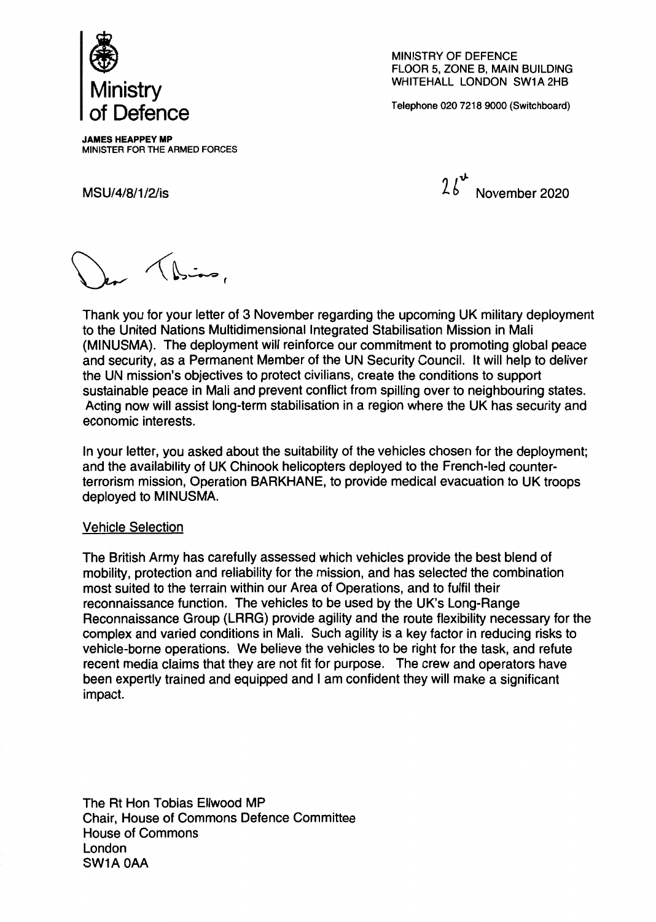

MINISTRY OF DEFENCE FLOOR 5, ZONE B, MAIN BUILDING WHITEHALL LONDON SW1A 2HB

Telephone 020 7218 9000 (Switchboard)

JAMES HEAPPEY MP MINISTER FOR THE ARMED FORCES

 $n!$ MSU/4/8/1/2/is  $46 \text{ November } 2020$ 

, صغنادگی)

Thank you for your letter of 3 November regarding the upcoming UK military deployment to the United Nations Multidimensional Integrated Stabilisation Mission in Mali (MINUSMA). The deployment will reinforce our commitment to promoting global peace and security, as a Permanent Member of the UN Security Council. It will help to deliver the UN mission's objectives to protect civilians, create the conditions to support sustainable peace in Mali and prevent conflict from spilling over to neighbouring states. Acting now will assist long-term stabilisation in a region where the UK has security and economic interests.

In your letter, you asked about the suitability of the vehicles chosen for the deployment; and the availability of UK Chinook helicopters deployed to the French-led counterterrorism mission, Operation BARKHANE, to provide medical evacuation to UK troops deployed to MINUSMA.

## Vehicle Selection

The British Army has carefully assessed which vehicles provide the best blend of mobility, protection and reliability for the mission, and has selected the combination most suited to the terrain within our Area of Operations, and to fulfil their reconnaissance function. The vehicles to be used by the UK's Long-Range Reconnaissance Group (LRRG) provide agility and the route flexibility necessary for the complex and varied conditions in Mali. Such agility is a key factor in reducing risks to vehicle-borne operations. We believe the vehicles to be right for the task, and refute recent media claims that they are not fit for purpose. The crew and operators have been expertly trained and equipped and I am confident they will make a significant impact.

The Rt Hon Tobias Ellwood MP Chair, House of Commons Defence Committee House of Commons London SW1A OAA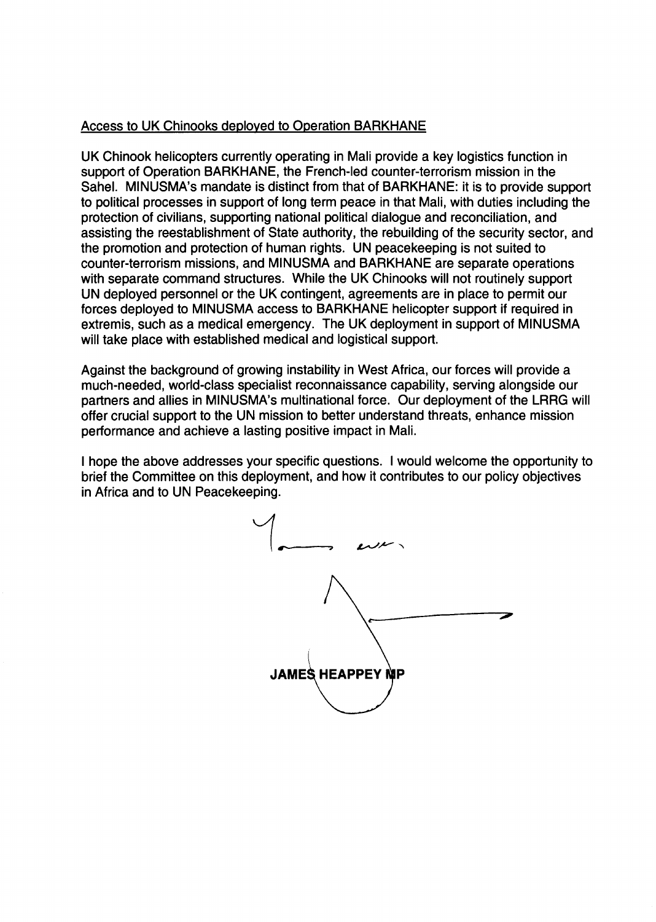## Access to UK Chinooks deployed to Operation BARKHANE

UK Chinook helicopters currently operating in Mali provide a key logistics function in support of Operation BARKHANE, the French-led counter-terrorism mission in the Sahel. MINUSMA's mandate is distinct from that of BARKHANE: it is to provide support to political processes in support of long term peace in that Mali, with duties including the protection of civilians, supporting national political dialogue and reconciliation, and assisting the reestablishment of State authority, the rebuilding of the security sector, and the promotion and protection of human rights. UN peacekeeping is not suited to counter-terrorism missions, and MINUSMA and BARKHANE are separate operations with separate command structures. While the UK Chinooks will not routinely support UN deployed personnel or the UK contingent, agreements are in place to permit our forces deployed to MINUSMA access to BARKHANE helicopter support if required in extremis, such as a medical emergency. The UK deployment in support of MINUSMA will take place with established medical and logistical support.

Against the background of growing instability in West Africa, our forces will provide a much-needed, world-class specialist reconnaissance capability, serving alongside our partners and allies in MINUSMA's multinational force. Our deployment of the LRRG will offer crucial support to the UN mission to better understand threats, enhance mission performance and achieve a lasting positive impact in Mali.

I hope the above addresses your specific questions. I would welcome the opportunity to brief the Committee on this deployment, and how it contributes to our policy objectives in Africa and to UN Peacekeeping.